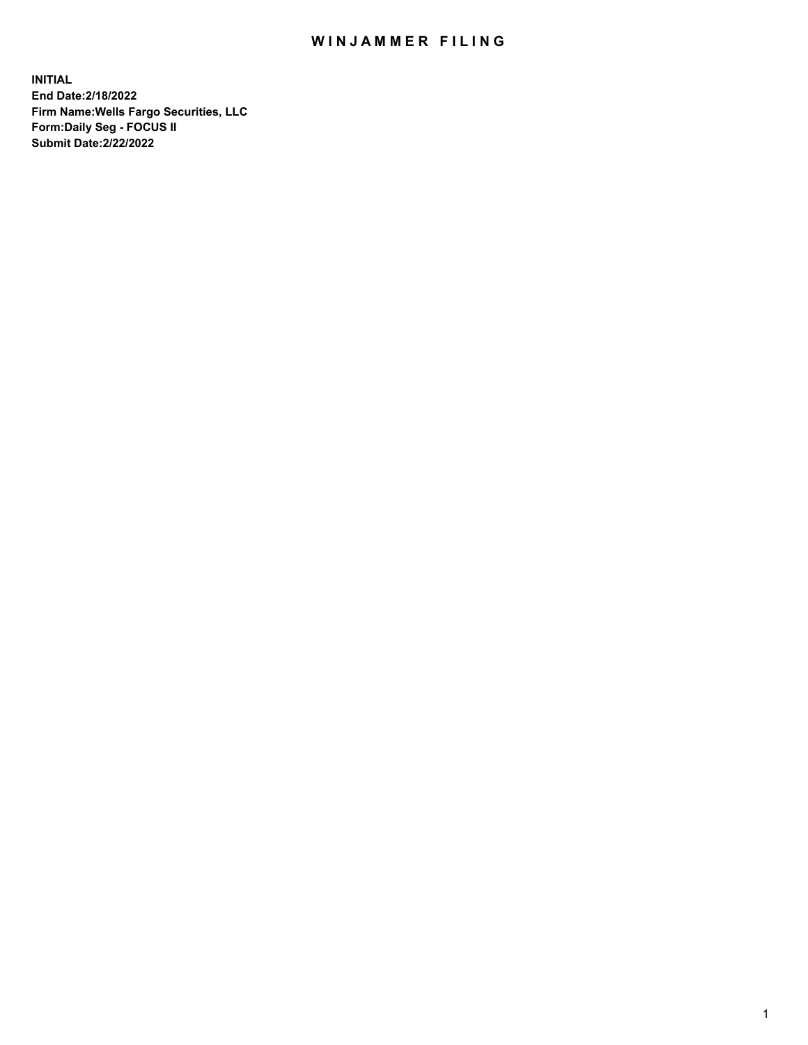## WIN JAMMER FILING

**INITIAL End Date:2/18/2022 Firm Name:Wells Fargo Securities, LLC Form:Daily Seg - FOCUS II Submit Date:2/22/2022**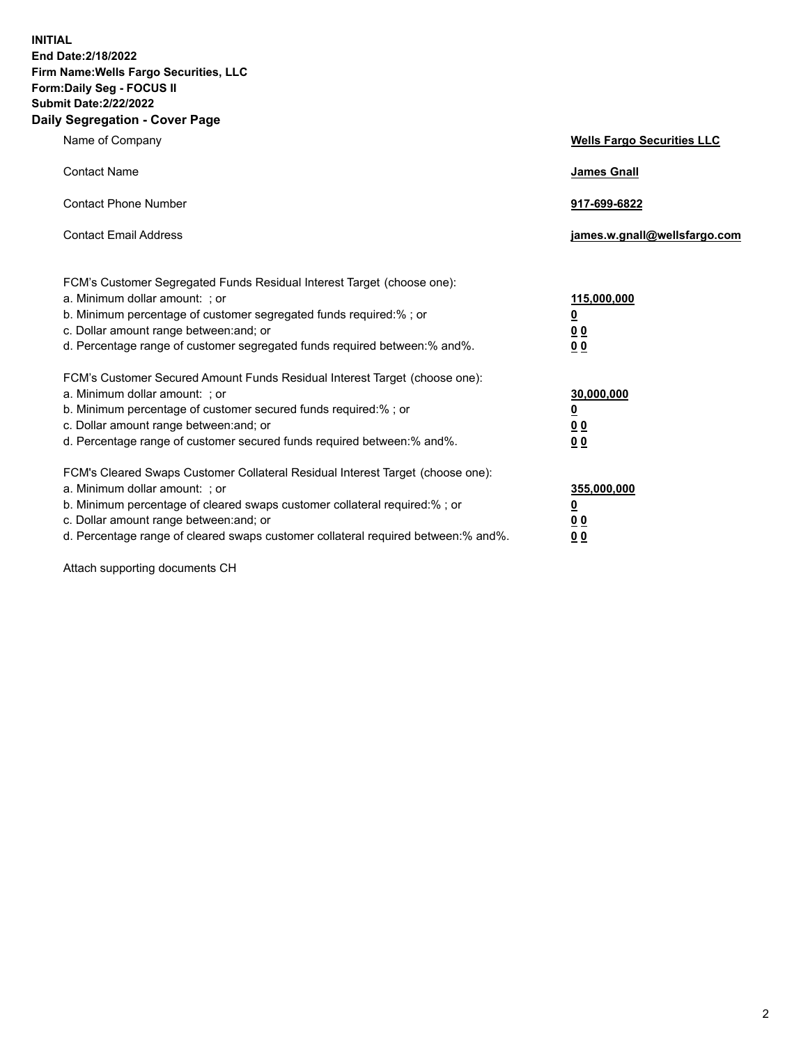**INITIAL End Date:2/18/2022 Firm Name:Wells Fargo Securities, LLC Form:Daily Seg - FOCUS II Submit Date:2/22/2022 Daily Segregation - Cover Page**

| Name of Company                                                                                                                                                                                                                                                                                                                | <b>Wells Fargo Securities LLC</b>                          |
|--------------------------------------------------------------------------------------------------------------------------------------------------------------------------------------------------------------------------------------------------------------------------------------------------------------------------------|------------------------------------------------------------|
| <b>Contact Name</b>                                                                                                                                                                                                                                                                                                            | <b>James Gnall</b>                                         |
| <b>Contact Phone Number</b>                                                                                                                                                                                                                                                                                                    | 917-699-6822                                               |
| <b>Contact Email Address</b>                                                                                                                                                                                                                                                                                                   | james.w.gnall@wellsfargo.com                               |
| FCM's Customer Segregated Funds Residual Interest Target (choose one):<br>a. Minimum dollar amount: ; or<br>b. Minimum percentage of customer segregated funds required:% ; or<br>c. Dollar amount range between: and; or<br>d. Percentage range of customer segregated funds required between:% and%.                         | 115,000,000<br><u>0</u><br>0 <sub>0</sub><br>00            |
| FCM's Customer Secured Amount Funds Residual Interest Target (choose one):<br>a. Minimum dollar amount: ; or<br>b. Minimum percentage of customer secured funds required:%; or<br>c. Dollar amount range between: and; or<br>d. Percentage range of customer secured funds required between:% and%.                            | 30,000,000<br><u>0</u><br>0 <sub>0</sub><br>0 <sub>0</sub> |
| FCM's Cleared Swaps Customer Collateral Residual Interest Target (choose one):<br>a. Minimum dollar amount: ; or<br>b. Minimum percentage of cleared swaps customer collateral required:% ; or<br>c. Dollar amount range between: and; or<br>d. Percentage range of cleared swaps customer collateral required between:% and%. | 355,000,000<br><u>0</u><br>00<br>00                        |

Attach supporting documents CH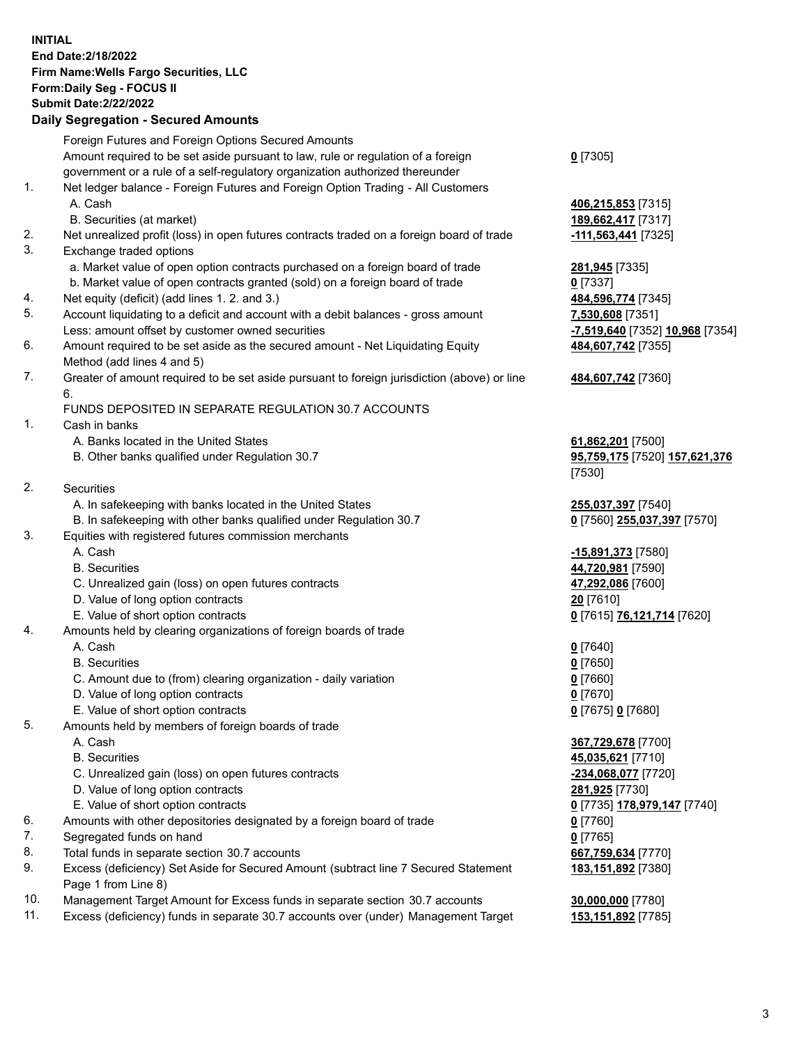**INITIAL End Date:2/18/2022 Firm Name:Wells Fargo Securities, LLC Form:Daily Seg - FOCUS II Submit Date:2/22/2022 Daily Segregation - Secured Amounts**

## Foreign Futures and Foreign Options Secured Amounts Amount required to be set aside pursuant to law, rule or regulation of a foreign government or a rule of a self-regulatory organization authorized thereunder 1. Net ledger balance - Foreign Futures and Foreign Option Trading - All Customers A. Cash **406,215,853** [7315] B. Securities (at market) **189,662,417** [7317] 2. Net unrealized profit (loss) in open futures contracts traded on a foreign board of trade **-111,563,441** [7325] 3. Exchange traded options a. Market value of open option contracts purchased on a foreign board of trade **281,945** [7335] b. Market value of open contracts granted (sold) on a foreign board of trade **0** [7337] 4. Net equity (deficit) (add lines 1. 2. and 3.) **484,596,774** [7345] 5. Account liquidating to a deficit and account with a debit balances - gross amount **7,530,608** [7351] Less: amount offset by customer owned securities **-7,519,640** [7352] **10,968** [7354] 6. Amount required to be set aside as the secured amount - Net Liquidating Equity Method (add lines 4 and 5) 7. Greater of amount required to be set aside pursuant to foreign jurisdiction (above) or line 6. FUNDS DEPOSITED IN SEPARATE REGULATION 30.7 ACCOUNTS 1. Cash in banks

- A. Banks located in the United States **61,862,201** [7500]
- B. Other banks qualified under Regulation 30.7 **95,759,175** [7520] **157,621,376**
- 2. Securities
	- A. In safekeeping with banks located in the United States **255,037,397** [7540]
- B. In safekeeping with other banks qualified under Regulation 30.7 **0** [7560] **255,037,397** [7570]
- 3. Equities with registered futures commission merchants
	-
	-
	- C. Unrealized gain (loss) on open futures contracts **47,292,086** [7600]
	- D. Value of long option contracts **20** [7610]
	- E. Value of short option contracts **0** [7615] **76,121,714** [7620]
- 4. Amounts held by clearing organizations of foreign boards of trade

## A. Cash **0** [7640]

- B. Securities **0** [7650]
- C. Amount due to (from) clearing organization daily variation **0** [7660]
- D. Value of long option contracts **0** [7670]
- E. Value of short option contracts **0** [7675] **0** [7680]
- 5. Amounts held by members of foreign boards of trade
	-
	-
	- C. Unrealized gain (loss) on open futures contracts **-234,068,077** [7720]
	- D. Value of long option contracts **281,925** [7730]
	- E. Value of short option contracts **0** [7735] **178,979,147** [7740]
- 6. Amounts with other depositories designated by a foreign board of trade **0** [7760]
- 7. Segregated funds on hand **0** [7765]
- 8. Total funds in separate section 30.7 accounts **667,759,634** [7770]
- 9. Excess (deficiency) Set Aside for Secured Amount (subtract line 7 Secured Statement Page 1 from Line 8)
- 10. Management Target Amount for Excess funds in separate section 30.7 accounts **30,000,000** [7780]
- 11. Excess (deficiency) funds in separate 30.7 accounts over (under) Management Target **153,151,892** [7785]

**0** [7305]

**484,607,742** [7355]

## **484,607,742** [7360]

[7530]

 A. Cash **-15,891,373** [7580] B. Securities **44,720,981** [7590]

 A. Cash **367,729,678** [7700] B. Securities **45,035,621** [7710] **183,151,892** [7380]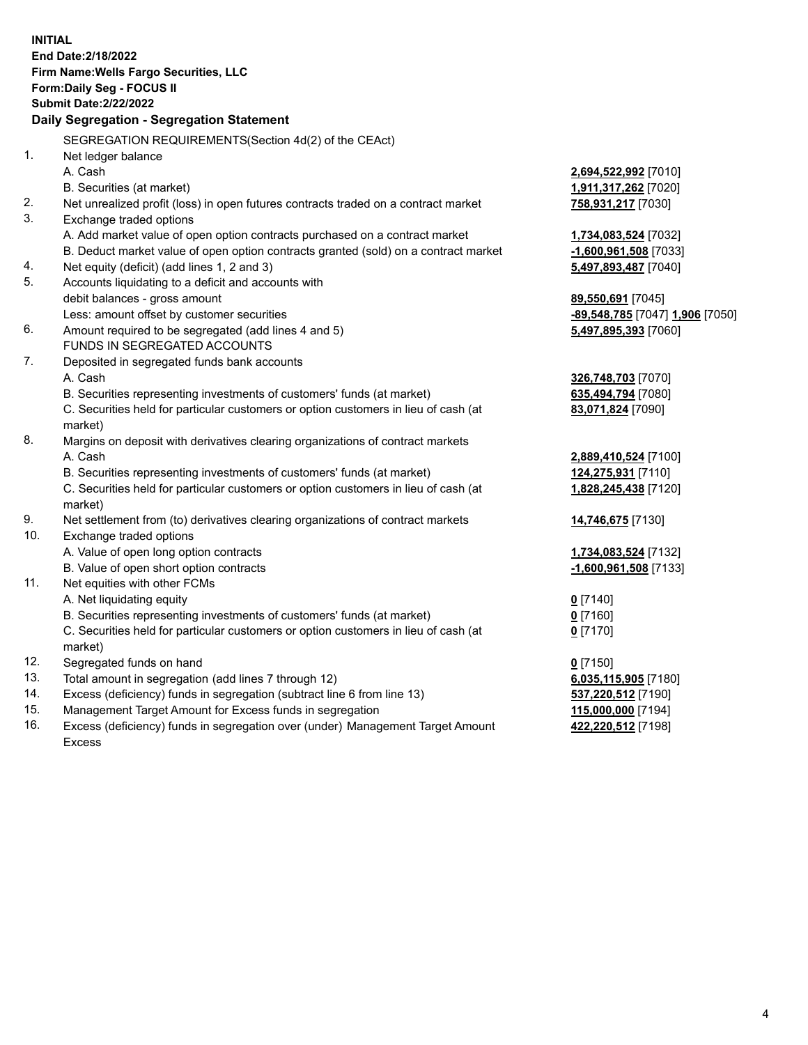**INITIAL End Date:2/18/2022 Firm Name:Wells Fargo Securities, LLC Form:Daily Seg - FOCUS II Submit Date:2/22/2022 Daily Segregation - Segregation Statement** SEGREGATION REQUIREMENTS(Section 4d(2) of the CEAct) 1. Net ledger balance A. Cash **2,694,522,992** [7010] B. Securities (at market) **1,911,317,262** [7020] 2. Net unrealized profit (loss) in open futures contracts traded on a contract market **758,931,217** [7030] 3. Exchange traded options A. Add market value of open option contracts purchased on a contract market **1,734,083,524** [7032] B. Deduct market value of open option contracts granted (sold) on a contract market **-1,600,961,508** [7033] 4. Net equity (deficit) (add lines 1, 2 and 3) **5,497,893,487** [7040] 5. Accounts liquidating to a deficit and accounts with debit balances - gross amount **89,550,691** [7045] Less: amount offset by customer securities **-89,548,785** [7047] **1,906** [7050] 6. Amount required to be segregated (add lines 4 and 5) **5,497,895,393** [7060] FUNDS IN SEGREGATED ACCOUNTS 7. Deposited in segregated funds bank accounts A. Cash **326,748,703** [7070] B. Securities representing investments of customers' funds (at market) **635,494,794** [7080] C. Securities held for particular customers or option customers in lieu of cash (at market) **83,071,824** [7090] 8. Margins on deposit with derivatives clearing organizations of contract markets A. Cash **2,889,410,524** [7100] B. Securities representing investments of customers' funds (at market) **124,275,931** [7110] C. Securities held for particular customers or option customers in lieu of cash (at market) **1,828,245,438** [7120] 9. Net settlement from (to) derivatives clearing organizations of contract markets **14,746,675** [7130] 10. Exchange traded options A. Value of open long option contracts **1,734,083,524** [7132] B. Value of open short option contracts **-1,600,961,508** [7133] 11. Net equities with other FCMs A. Net liquidating equity **0** [7140] B. Securities representing investments of customers' funds (at market) **0** [7160] C. Securities held for particular customers or option customers in lieu of cash (at market) **0** [7170] 12. Segregated funds on hand **0** [7150] 13. Total amount in segregation (add lines 7 through 12) **6,035,115,905** [7180] 14. Excess (deficiency) funds in segregation (subtract line 6 from line 13) **537,220,512** [7190] 15. Management Target Amount for Excess funds in segregation **115,000,000** [7194] 16. Excess (deficiency) funds in segregation over (under) Management Target Amount **422,220,512** [7198]

Excess